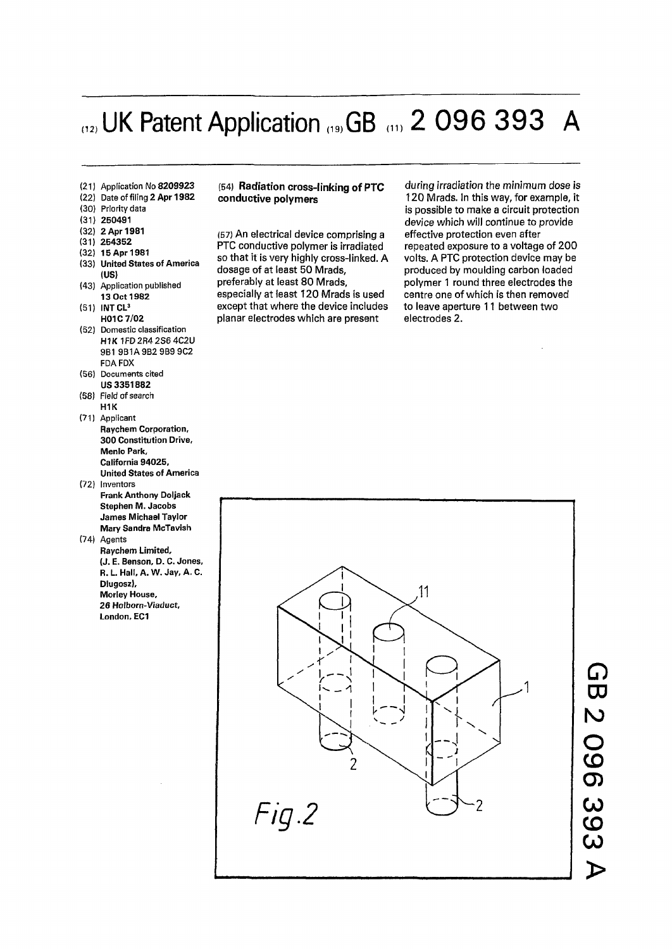# $(12)$  UK Patent Application  $(19)$  GB  $(11)$  2 096 393 A

- (21) **Application No 820992 3**
- (22) **Date of filing 2 Ap r 198 2**
- (30) **Priority data**
- (31) **250491**
- (32) **2 Apr 1981**
- (31) **254352**
- (32) **15 Apr 1981**
- (33) **United States of America (US)**
- (43) **Application published 1 3 Oc t 198 2**
- (51) **INT CL<sup>3</sup> H01C7/0 2**
- (52) **Domestic classification H1K** 1FD2R42S6 4C2U 9B1 9B1A9B2 9B9 9C2 **FDA FDX**
- (56) **Document s cited U S 335188 2**
- (58) **Field of search H1K**  (71) **Applicant**
- **Raychem Corporation, 300 Constitution Drive, Menlo Park, California 94025, United States of America**
- (72) **Inventors Frank Anthony Doljack Stephen M. Jacobs James Michael Taylor Mary Sandra McTavish**
- (74) **Agent s Raychem Limited, (J. E. Benson,** D. C. **Jones, R.L. Hall, A. W. Jay,A.C. Dlugosz), Morley House, 26 Holborn-Viaduct, London, EC1**

#### (54) **Radiation cross-linking of PTC conductive polymers**

(57) An electrical device comprising a PTC conductive polymer is irradiated so that it is very highly cross-linked. A dosage of at least 50 Mrads, preferably at least 80 Mrads, especially at least 120 Mrads is used except that where the device includes planar electrodes which are present

during *irradiation the minimum dose is*  120 Mrads. In this way, for example, it is possible to make a circuit protection device which will continue to provide effective protection even after repeated exposure to a voltage of 200 volts. A PTC protection device may be produced by moulding carbon loaded polymer 1 round three electrodes the centre one of which is then removed to leave aperture 11 between two electrodes 2.

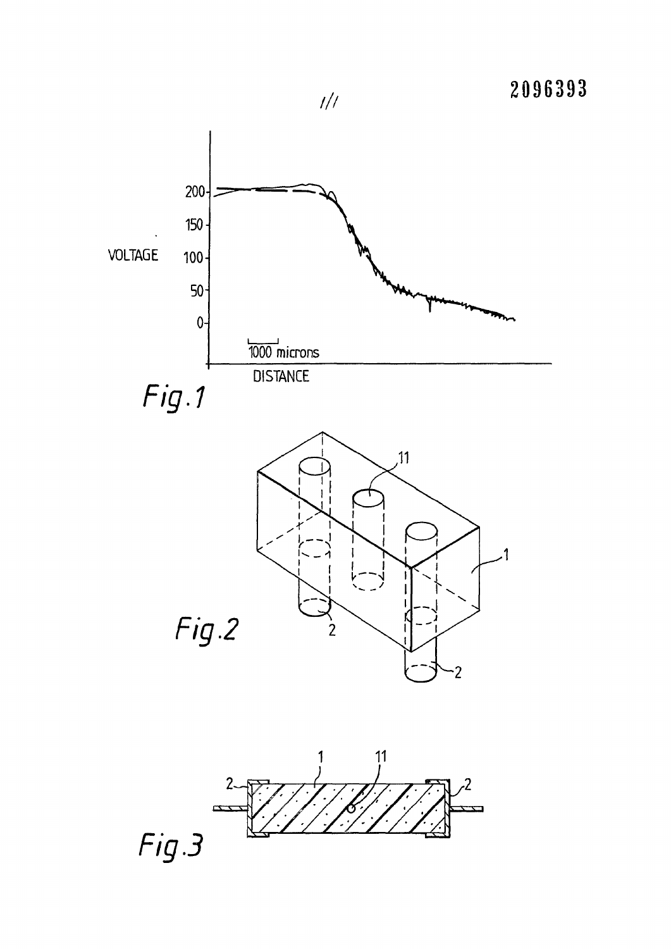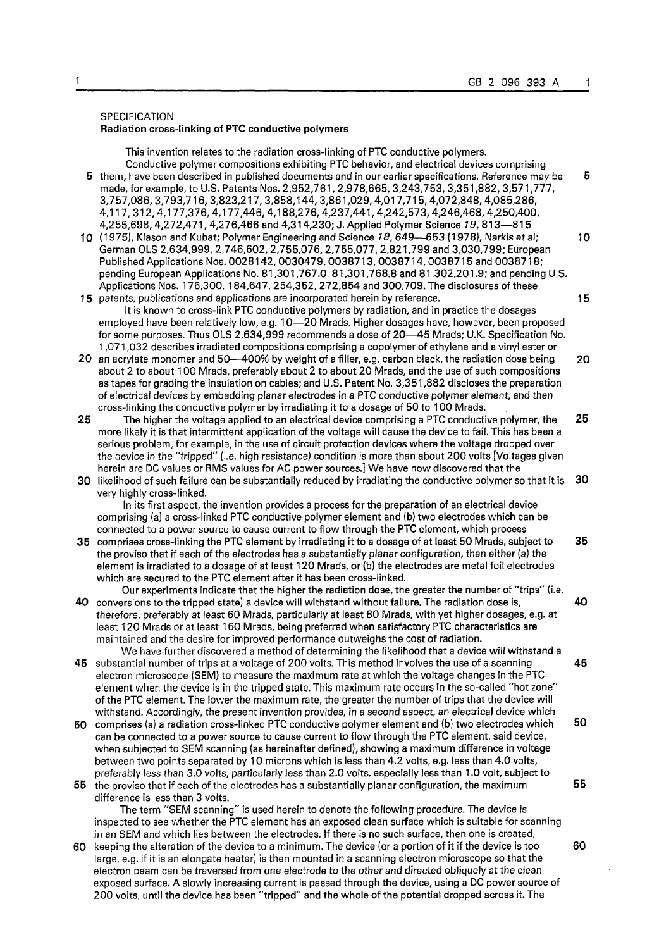#### SPECIFICATION Radiation cross-linking of PTC conductive polymers

This invention relates to the radiation cross-linking of PTC conductive polymers. Conductive polymer compositions exhibiting PTC behavior, and electrical devices comprising 5 them, have been described in published documents and in our earlier specifications. Reference may be 5 made, for example, to U.S. Patents Nos. 2,952,761,2,978,665,3,243,753, 3,351,882, 3,571,777, 3,757,086, 3,793,716, 3,823,217, 3,858,144,3,861,029,4,017,715,4,072,848,4,085,286, 4,117, 312, 4,177,376,4,177,446,4,188,276,4,237,441,4,242,573,4,246,468,4,250,400, 4,255,698,4,272,471, 4,276,466 and 4,314,230; J. Applied Polymer Science 19, 813—815 10 (1975), Klason and Kubat; Polymer Engineering and Science *18,* 649—653 (1978), Narkisetal; 10 German OLS 2,634,999,2,746,602,2,755,076,2,755,077,2,821,799 and 3,030,799; European Published Applications Nos. 0028142,0030479,0038713,0038714,0038715 and 0038718; pending European Applications No. 81,301,767.0, 81,301,768.8 and 81,302,201.9; and pending U.S. Applications Nos. 176,300, 184,647, 254,352, 272,854 and 300,709. The disclosures of these 15 patents, publications and applications are incorporated herein by reference. 15 It is known to cross-link PTC conductive polymers by radiation, and in practice the dosages employed have been relatively low, e.g. 10—20 Mrads. Higher dosages have, however, been proposed for some purposes. Thus OLS 2,634,999 recommends a dose of 20—45 Mrads; U.K. Specification No. 1,071,032 describes irradiated compositions comprising a copolymer of ethylene and a vinyl ester or 20 an acrylate monomer and 50—400% by weight of a filler, e.g. carbon black, the radiation dose being 20 about 2 to about 100 Mrads, preferably about 2 to about 20 Mrads, and the use of such compositions as tapes for grading the insulation on cables; and U.S. Patent No. 3,351,882 discloses the preparation of electrical devices by embedding planar electrodes in a PTC conductive polymer element, and then cross-linking the conductive polymer by irradiating it to a dosage of 50 to 100 Mrads. **25** The higher the voltage applied to an electrical device comprising a PTC conductive polymer, the **25**  more likely it is that intermittent application of the voltage will cause the device to fail. This has been a serious problem, for example, in the use of circuit protection devices where the voltage dropped over the device in the "tripped" (i.e. high resistance) condition is more than about 200 volts [Voltages given herein are DC values or RMS values for AC power sources.] We have now discovered that the **30** likelihood of such failure can be substantially reduced by irradiating the conductive polymer so that it is **30**  very highly cross-linked. In its first aspect, the invention provides a process for the preparation of an electrical device comprising (a) a cross-linked PTC conductive polymer element and (b) two electrodes which can be connected to a power source to cause current to flow through the PTC element, which process **35** comprises cross-linking the PTC element by irradiating it to a dosage of at least 50 Mrads, subject to **35**  the proviso that if each of the electrodes has a substantially planar configuration, then either (a) the element is irradiated to a dosage of at least 120 Mrads, or (b) the electrodes are metal foil electrodes which are secured to the PTC element after it has been cross-linked. Our experiments indicate that the higher the radiation dose, the greater the number of "trips" (i.e. **40** conversions to the tripped state) a device will withstand without failure. The radiation dose is, **40**  therefore, preferably at least 60 Mrads, particularly at least 80 Mrads, with yet higher dosages, e.g. at least 120 Mrads or at least 160 Mrads, being preferred when satisfactory PTC characteristics are maintained and the desire for improved performance outweighs the cost of radiation. We have further discovered a method of determining the likelihood that a device will withstand a 45 substantial number of trips at a voltage of 200 volts. This method involves the use of a scanning 45 electron microscope (SEM) to measure the maximum rate at which the voltage changes in the PTC element when the device is in the tripped state. This maximum rate occurs in the so-called "hot zone" of the PTC element. The lower the maximum rate, the greater the number of trips that the device will withstand. Accordingly, the present invention provides, in a second aspect, an electrical device which 50 comprises (a) a radiation cross-linked PTC conductive polymer element and (b) two electrodes which 50 can be connected to a power source to cause current to flow through the PTC element, said device, when subjected to SEM scanning (as hereinafter defined), showing a maximum difference in voltage between two points separated by 10 microns which is less than 4.2 volts, e.g. less than 4.0 volts, preferably less than 3.0 volts, particularly less than 2.0 volts, especially less than 1.0 volt, subject to 55 the proviso that if each of the electrodes has a substantially planar configuration, the maximum 55 difference is less than 3 volts. The term "SEM scanning" is used herein to denote the following procedure. The device is inspected to see whether the PTC element has an exposed clean surface which is suitable for scanning in an SEM and which lies between the electrodes. If there is no such surface, then one is created, 60 keeping the alteration of the device to a minimum. The device (or a portion of it if the device is too 60 large, e.g. if it is an elongate heater) is then mounted in a scanning electron microscope so that the electron beam can be traversed from one electrode to the other and directed obliquely at the clean exposed surface. A slowly increasing current is passed through the device, using a DC power source of 200 volts, until the device has been "tripped" and the whole of the potential dropped across it. The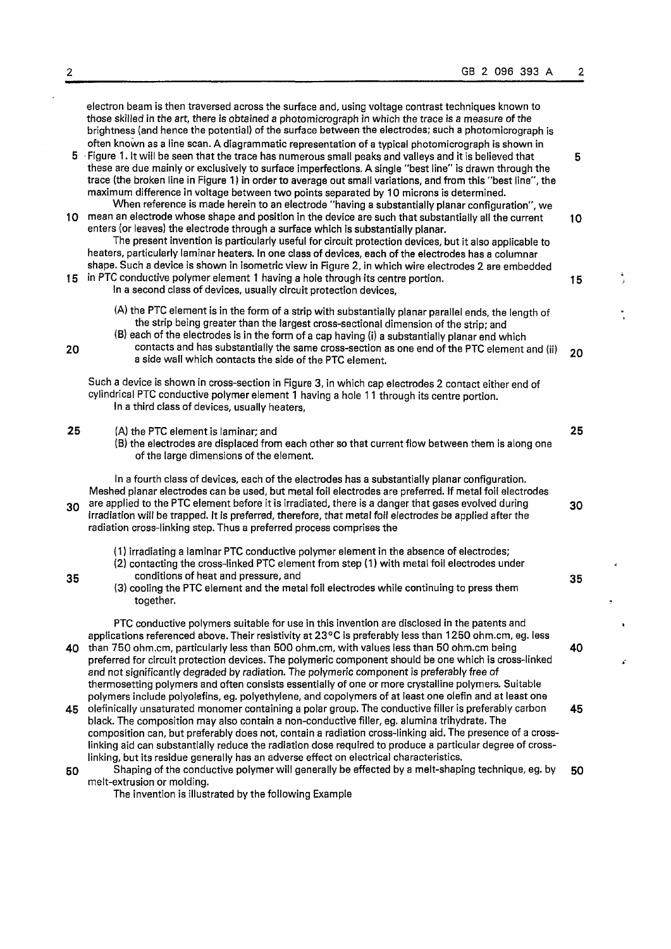$\frac{4}{3}$ 

 $\frac{1}{2}$ 

k,

 $\mathbf{r}$ 

|                 | electron beam is then traversed across the surface and, using voltage contrast techniques known to<br>those skilled in the art, there is obtained a photomicrograph in which the trace is a measure of the<br>brightness (and hence the potential) of the surface between the electrodes; such a photomicrograph is<br>often known as a line scan. A diagrammatic representation of a typical photomicrograph is shown in<br>5 Figure 1. It will be seen that the trace has numerous small peaks and valleys and it is believed that<br>these are due mainly or exclusively to surface imperfections. A single "best line" is drawn through the<br>trace (the broken line in Figure 1) in order to average out small variations, and from this "best line", the<br>maximum difference in voltage between two points separated by 10 microns is determined. | 5  |
|-----------------|------------------------------------------------------------------------------------------------------------------------------------------------------------------------------------------------------------------------------------------------------------------------------------------------------------------------------------------------------------------------------------------------------------------------------------------------------------------------------------------------------------------------------------------------------------------------------------------------------------------------------------------------------------------------------------------------------------------------------------------------------------------------------------------------------------------------------------------------------------|----|
| 10 <sub>1</sub> | When reference is made herein to an electrode "having a substantially planar configuration", we<br>mean an electrode whose shape and position in the device are such that substantially all the current<br>enters (or leaves) the electrode through a surface which is substantially planar.<br>The present invention is particularly useful for circuit protection devices, but it also applicable to<br>heaters, particularly laminar heaters. In one class of devices, each of the electrodes has a columnar<br>shape. Such a device is shown in isometric view in Figure 2, in which wire electrodes 2 are embedded                                                                                                                                                                                                                                    | 10 |
| 15              | in PTC conductive polymer element 1 having a hole through its centre portion.<br>In a second class of devices, usually circuit protection devices,                                                                                                                                                                                                                                                                                                                                                                                                                                                                                                                                                                                                                                                                                                         | 15 |
| 20              | (A) the PTC element is in the form of a strip with substantially planar parallel ends, the length of<br>the strip being greater than the largest cross-sectional dimension of the strip; and<br>(B) each of the electrodes is in the form of a cap having (i) a substantially planar end which<br>contacts and has substantially the same cross-section as one end of the PTC element and (ii)<br>a side wall which contacts the side of the PTC element.                                                                                                                                                                                                                                                                                                                                                                                                  | 20 |
|                 | Such a device is shown in cross-section in Figure 3, in which cap electrodes 2 contact either end of<br>cylindrical PTC conductive polymer element 1 having a hole 11 through its centre portion.<br>In a third class of devices, usually heaters,                                                                                                                                                                                                                                                                                                                                                                                                                                                                                                                                                                                                         |    |
| 25              | (A) the PTC element is laminar; and<br>(B) the electrodes are displaced from each other so that current flow between them is along one<br>of the large dimensions of the element.                                                                                                                                                                                                                                                                                                                                                                                                                                                                                                                                                                                                                                                                          | 25 |
| 30              | In a fourth class of devices, each of the electrodes has a substantially planar configuration.<br>Meshed planar electrodes can be used, but metal foil electrodes are preferred. If metal foil electrodes<br>are applied to the PTC element before it is irradiated, there is a danger that gases evolved during<br>irradiation will be trapped. It is preferred, therefore, that metal foil electrodes be applied after the<br>radiation cross-linking step. Thus a preferred process comprises the                                                                                                                                                                                                                                                                                                                                                       | 30 |
| 35              | (1) irradiating a laminar PTC conductive polymer element in the absence of electrodes;<br>(2) contacting the cross-linked PTC element from step (1) with metal foil electrodes under<br>conditions of heat and pressure, and<br>(3) cooling the PTC element and the metal foil electrodes while continuing to press them<br>together.                                                                                                                                                                                                                                                                                                                                                                                                                                                                                                                      | 35 |
| 40              | PTC conductive polymers suitable for use in this invention are disclosed in the patents and<br>applications referenced above. Their resistivity at 23°C is preferably less than 1250 ohm.cm, eg. less<br>than 750 ohm.cm, particularly less than 500 ohm.cm, with values less than 50 ohm.cm being<br>preferred for circuit protection devices. The polymeric component should be one which is cross-linked<br>and not significantly degraded by radiation. The polymeric component is preferably free of<br>thermosetting polymers and often consists essentially of one or more crystalline polymers. Suitable                                                                                                                                                                                                                                           | 40 |
| 45              | polymers include polyolefins, eg. polyethylene, and copolymers of at least one olefin and at least one<br>olefinically unsaturated monomer containing a polar group. The conductive filler is preferably carbon<br>black. The composition may also contain a non-conductive filler, eg. alumina trihydrate. The<br>composition can, but preferably does not, contain a radiation cross-linking aid. The presence of a cross-<br>linking aid can substantially reduce the radiation dose required to produce a particular degree of cross-<br>linking, but its residue generally has an adverse effect on electrical characteristics.                                                                                                                                                                                                                       | 45 |
| 50              | Shaping of the conductive polymer will generally be effected by a melt-shaping technique, eg. by<br>melt-extrusion or molding.                                                                                                                                                                                                                                                                                                                                                                                                                                                                                                                                                                                                                                                                                                                             | 50 |

The invention is illustrated by the following Example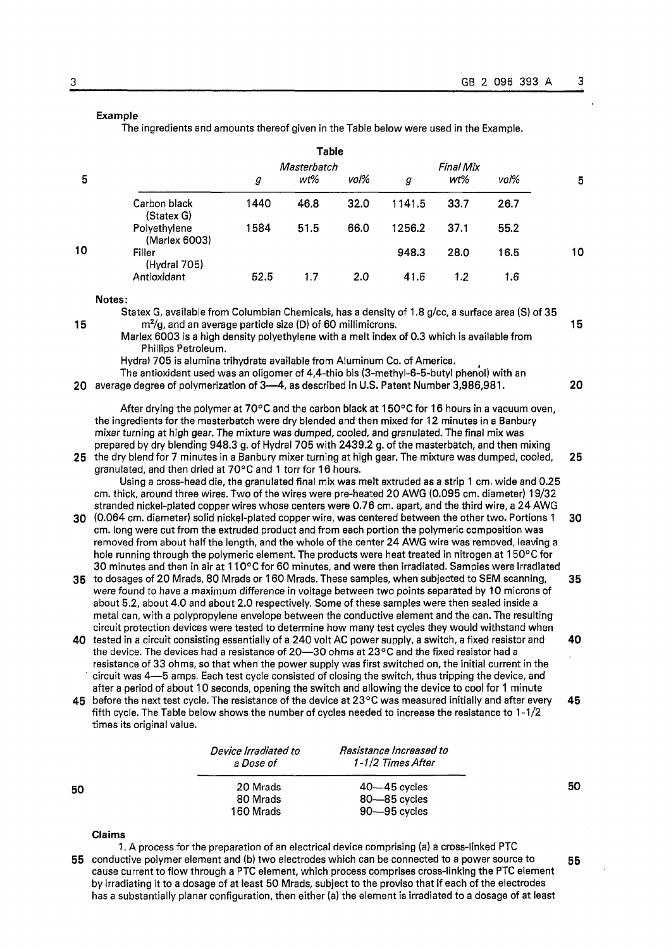## **Example**

The ingredients and amounts thereof given in the Table below were used in the Example.

|                                                                                                                                                                                                                                                                                                 |                                                                                                                                                                                                                                                                                                                                                                                                                                                                                                                                                                                                                                                                                                                                                                                                |                      | <b>Table</b> |      |                         |                  |      |    |
|-------------------------------------------------------------------------------------------------------------------------------------------------------------------------------------------------------------------------------------------------------------------------------------------------|------------------------------------------------------------------------------------------------------------------------------------------------------------------------------------------------------------------------------------------------------------------------------------------------------------------------------------------------------------------------------------------------------------------------------------------------------------------------------------------------------------------------------------------------------------------------------------------------------------------------------------------------------------------------------------------------------------------------------------------------------------------------------------------------|----------------------|--------------|------|-------------------------|------------------|------|----|
|                                                                                                                                                                                                                                                                                                 |                                                                                                                                                                                                                                                                                                                                                                                                                                                                                                                                                                                                                                                                                                                                                                                                |                      | Masterbatch  |      |                         | <b>Final Mix</b> |      |    |
| 5                                                                                                                                                                                                                                                                                               |                                                                                                                                                                                                                                                                                                                                                                                                                                                                                                                                                                                                                                                                                                                                                                                                | g                    | wt%          | voľ% | $\boldsymbol{g}$        | wt%              | voľ% | 5  |
|                                                                                                                                                                                                                                                                                                 | Carbon black<br>(Statex G)                                                                                                                                                                                                                                                                                                                                                                                                                                                                                                                                                                                                                                                                                                                                                                     | 1440                 | 46.8         | 32.0 | 1141.5                  | 33.7             | 26.7 |    |
|                                                                                                                                                                                                                                                                                                 | Polyethylene<br>(Marlex 6003)                                                                                                                                                                                                                                                                                                                                                                                                                                                                                                                                                                                                                                                                                                                                                                  | 1584                 | 51.5         | 66.0 | 1256.2                  | 37.1             | 55.2 |    |
| 10                                                                                                                                                                                                                                                                                              | Filler<br>(Hydral 705)                                                                                                                                                                                                                                                                                                                                                                                                                                                                                                                                                                                                                                                                                                                                                                         |                      |              |      | 948.3                   | 28.0             | 16.5 | 10 |
|                                                                                                                                                                                                                                                                                                 | Antioxidant                                                                                                                                                                                                                                                                                                                                                                                                                                                                                                                                                                                                                                                                                                                                                                                    | 52.5                 | 1.7          | 2.0  | 41.5                    | 1.2              | 1.6  |    |
|                                                                                                                                                                                                                                                                                                 | Notes:                                                                                                                                                                                                                                                                                                                                                                                                                                                                                                                                                                                                                                                                                                                                                                                         |                      |              |      |                         |                  |      |    |
| Statex G, available from Columbian Chemicals, has a density of 1.8 g/cc, a surface area (S) of 35<br>$m^2/g$ , and an average particle size (D) of 60 millimicrons.<br>15<br>Marlex 6003 is a high density polyethylene with a melt index of 0.3 which is available from<br>Phillips Petroleum. |                                                                                                                                                                                                                                                                                                                                                                                                                                                                                                                                                                                                                                                                                                                                                                                                |                      |              |      |                         |                  |      | 15 |
| 20                                                                                                                                                                                                                                                                                              | Hydra! 705 is alumina trihydrate available from Aluminum Co. of America.<br>The antioxidant used was an oligomer of 4,4-thio bis (3-methyl-6-5-butyl phenol) with an<br>average degree of polymerization of 3-4, as described in U.S. Patent Number 3,986,981.                                                                                                                                                                                                                                                                                                                                                                                                                                                                                                                                 |                      |              |      |                         |                  |      | 20 |
| 25                                                                                                                                                                                                                                                                                              | After drying the polymer at 70°C and the carbon black at 150°C for 16 hours in a vacuum oven,<br>the ingredients for the masterbatch were dry blended and then mixed for 12 minutes in a Banbury<br>mixer turning at high gear. The mixture was dumped, cooled, and granulated. The final mix was<br>prepared by dry blending 948.3 g. of Hydral 705 with 2439.2 g. of the masterbatch, and then mixing<br>the dry blend for 7 minutes in a Banbury mixer turning at high gear. The mixture was dumped, cooled,<br>25<br>granulated, and then dried at 70°C and 1 torr for 16 hours.<br>Using a cross-head die, the granulated final mix was melt extruded as a strip 1 cm. wide and 0.25<br>cm. thick, around three wires. Two of the wires were pre-heated 20 AWG (0.095 cm. diameter) 19/32 |                      |              |      |                         |                  |      |    |
| 30                                                                                                                                                                                                                                                                                              | stranded nickel-plated copper wires whose centers were 0.76 cm. apart, and the third wire, a 24 AWG<br>(0.064 cm. diameter) solid nickel-plated copper wire, was centered between the other two. Portions 1<br>30<br>cm. long were cut from the extruded product and from each portion the polymeric composition was<br>removed from about half the length, and the whole of the center 24 AWG wire was removed, leaving a<br>hole running through the polymeric element. The products were heat treated in nitrogen at 150°C for                                                                                                                                                                                                                                                              |                      |              |      |                         |                  |      |    |
| 35                                                                                                                                                                                                                                                                                              | 30 minutes and then in air at 110°C for 60 minutes, and were then irradiated. Samples were irradiated<br>to dosages of 20 Mrads, 80 Mrads or 160 Mrads. These samples, when subjected to SEM scanning,<br>were found to have a maximum difference in voltage between two points separated by 10 microns of<br>about 5.2, about 4.0 and about 2.0 respectively. Some of these samples were then sealed inside a<br>metal can, with a polypropylene envelope between the conductive element and the can. The resulting                                                                                                                                                                                                                                                                           |                      |              |      |                         |                  | 35   |    |
|                                                                                                                                                                                                                                                                                                 | circuit protection devices were tested to determine how many test cycles they would withstand when<br>40 tested in a circuit consisting essentially of a 240 volt AC power supply, a switch, a fixed resistor and<br>the device. The devices had a resistance of 20-30 ohms at 23°C and the fixed resistor had a<br>resistance of 33 ohms, so that when the power supply was first switched on, the initial current in the<br>circuit was 4---5 amps. Each test cycle consisted of closing the switch, thus tripping the device, and                                                                                                                                                                                                                                                           |                      |              |      |                         |                  | 40   |    |
|                                                                                                                                                                                                                                                                                                 | after a period of about 10 seconds, opening the switch and allowing the device to cool for 1 minute<br>45 before the next test cycle. The resistance of the device at 23 $\degree$ C was measured initially and after every<br>fifth cycle. The Table below shows the number of cycles needed to increase the resistance to $1-1/2$<br>times its original value.                                                                                                                                                                                                                                                                                                                                                                                                                               |                      |              |      |                         |                  | 45   |    |
|                                                                                                                                                                                                                                                                                                 |                                                                                                                                                                                                                                                                                                                                                                                                                                                                                                                                                                                                                                                                                                                                                                                                | Device Irradiated to |              |      | Resistance Increased to |                  |      |    |

|    | a Dose of | 1-1/2 Times After |    |
|----|-----------|-------------------|----|
| 50 | 20 Mrads  | $40 - 45$ cycles  | 50 |
|    | 80 Mrads  | 80—85 cycles      |    |
|    | 160 Mrads | 90—95 cycles      |    |

### **Claims**

1. A process for the preparation of an electrical device comprising (a) a cross-linked PTC 55 conductive polymer element and (b) two electrodes which can be connected to a power source to 55 cause current to flow through a PTC element, which process comprises cross-linking the PTC element by irradiating it to a dosage of at least 50 Mrads, subject to the proviso that if each of the electrodes has a substantially planar configuration, then either (a) the element is irradiated to a dosage of at least